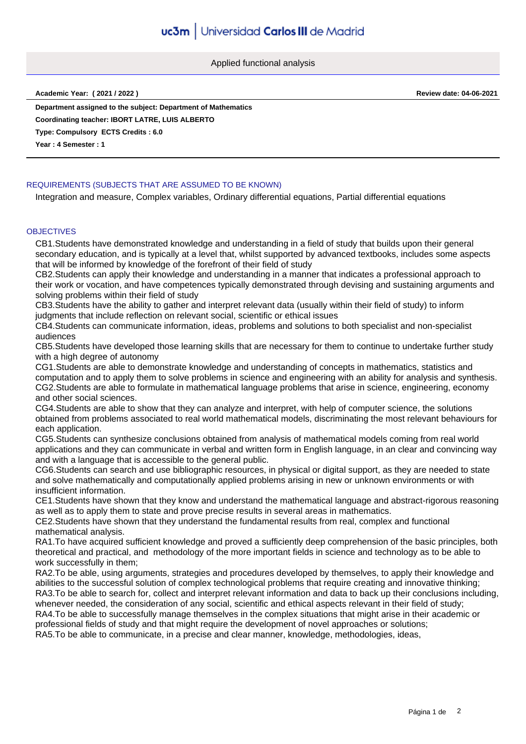Applied functional analysis

**Academic Year: ( 2021 / 2022 ) Review date: 04-06-2021**

**Department assigned to the subject: Department of Mathematics Coordinating teacher: IBORT LATRE, LUIS ALBERTO**

**Type: Compulsory ECTS Credits : 6.0**

**Year : 4 Semester : 1**

# REQUIREMENTS (SUBJECTS THAT ARE ASSUMED TO BE KNOWN)

Integration and measure, Complex variables, Ordinary differential equations, Partial differential equations

### **OBJECTIVES**

CB1.Students have demonstrated knowledge and understanding in a field of study that builds upon their general secondary education, and is typically at a level that, whilst supported by advanced textbooks, includes some aspects that will be informed by knowledge of the forefront of their field of study

CB2.Students can apply their knowledge and understanding in a manner that indicates a professional approach to their work or vocation, and have competences typically demonstrated through devising and sustaining arguments and solving problems within their field of study

CB3.Students have the ability to gather and interpret relevant data (usually within their field of study) to inform judgments that include reflection on relevant social, scientific or ethical issues

CB4.Students can communicate information, ideas, problems and solutions to both specialist and non-specialist audiences

CB5.Students have developed those learning skills that are necessary for them to continue to undertake further study with a high degree of autonomy

CG1.Students are able to demonstrate knowledge and understanding of concepts in mathematics, statistics and computation and to apply them to solve problems in science and engineering with an ability for analysis and synthesis. CG2.Students are able to formulate in mathematical language problems that arise in science, engineering, economy and other social sciences.

CG4.Students are able to show that they can analyze and interpret, with help of computer science, the solutions obtained from problems associated to real world mathematical models, discriminating the most relevant behaviours for each application.

CG5.Students can synthesize conclusions obtained from analysis of mathematical models coming from real world applications and they can communicate in verbal and written form in English language, in an clear and convincing way and with a language that is accessible to the general public.

CG6.Students can search and use bibliographic resources, in physical or digital support, as they are needed to state and solve mathematically and computationally applied problems arising in new or unknown environments or with insufficient information.

CE1.Students have shown that they know and understand the mathematical language and abstract-rigorous reasoning as well as to apply them to state and prove precise results in several areas in mathematics.

CE2.Students have shown that they understand the fundamental results from real, complex and functional mathematical analysis.

RA1.To have acquired sufficient knowledge and proved a sufficiently deep comprehension of the basic principles, both theoretical and practical, and methodology of the more important fields in science and technology as to be able to work successfully in them;

RA2.To be able, using arguments, strategies and procedures developed by themselves, to apply their knowledge and abilities to the successful solution of complex technological problems that require creating and innovative thinking; RA3.To be able to search for, collect and interpret relevant information and data to back up their conclusions including, whenever needed, the consideration of any social, scientific and ethical aspects relevant in their field of study; RA4.To be able to successfully manage themselves in the complex situations that might arise in their academic or professional fields of study and that might require the development of novel approaches or solutions;

RA5.To be able to communicate, in a precise and clear manner, knowledge, methodologies, ideas,